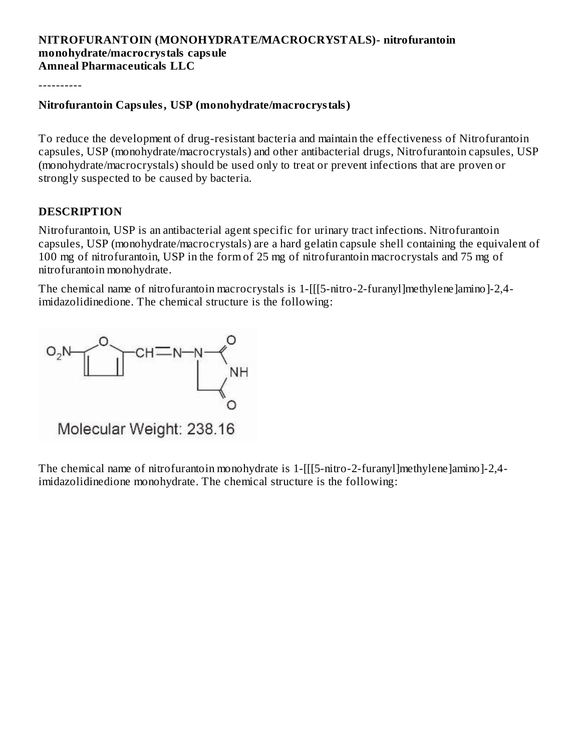#### **NITROFURANTOIN (MONOHYDRATE/MACROCRYSTALS)- nitrofurantoin monohydrate/macrocrystals capsule Amneal Pharmaceuticals LLC**

----------

#### **Nitrofurantoin Capsules, USP (monohydrate/macrocrystals)**

To reduce the development of drug-resistant bacteria and maintain the effectiveness of Nitrofurantoin capsules, USP (monohydrate/macrocrystals) and other antibacterial drugs, Nitrofurantoin capsules, USP (monohydrate/macrocrystals) should be used only to treat or prevent infections that are proven or strongly suspected to be caused by bacteria.

#### **DESCRIPTION**

Nitrofurantoin, USP is an antibacterial agent specific for urinary tract infections. Nitrofurantoin capsules, USP (monohydrate/macrocrystals) are a hard gelatin capsule shell containing the equivalent of 100 mg of nitrofurantoin, USP in the form of 25 mg of nitrofurantoin macrocrystals and 75 mg of nitrofurantoin monohydrate.

The chemical name of nitrofurantoin macrocrystals is 1-[[[5-nitro-2-furanyl]methylene]amino]-2,4 imidazolidinedione. The chemical structure is the following:



The chemical name of nitrofurantoin monohydrate is 1-[[[5-nitro-2-furanyl]methylene]amino]-2,4 imidazolidinedione monohydrate. The chemical structure is the following: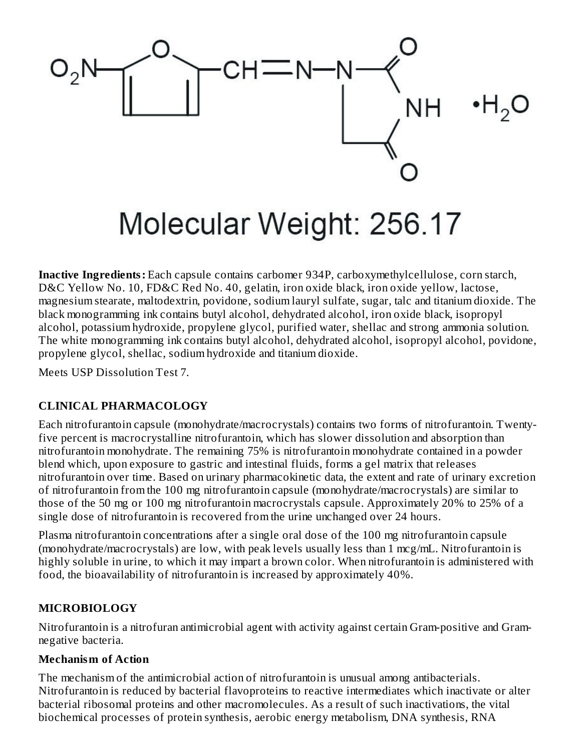

Molecular Weight: 256.17

**Inactive Ingredients:** Each capsule contains carbomer 934P, carboxymethylcellulose, corn starch, D&C Yellow No. 10, FD&C Red No. 40, gelatin, iron oxide black, iron oxide yellow, lactose, magnesium stearate, maltodextrin, povidone, sodium lauryl sulfate, sugar, talc and titanium dioxide. The black monogramming ink contains butyl alcohol, dehydrated alcohol, iron oxide black, isopropyl alcohol, potassium hydroxide, propylene glycol, purified water, shellac and strong ammonia solution. The white monogramming ink contains butyl alcohol, dehydrated alcohol, isopropyl alcohol, povidone, propylene glycol, shellac, sodium hydroxide and titanium dioxide.

Meets USP Dissolution Test 7.

### **CLINICAL PHARMACOLOGY**

Each nitrofurantoin capsule (monohydrate/macrocrystals) contains two forms of nitrofurantoin. Twentyfive percent is macrocrystalline nitrofurantoin, which has slower dissolution and absorption than nitrofurantoin monohydrate. The remaining 75% is nitrofurantoin monohydrate contained in a powder blend which, upon exposure to gastric and intestinal fluids, forms a gel matrix that releases nitrofurantoin over time. Based on urinary pharmacokinetic data, the extent and rate of urinary excretion of nitrofurantoin from the 100 mg nitrofurantoin capsule (monohydrate/macrocrystals) are similar to those of the 50 mg or 100 mg nitrofurantoin macrocrystals capsule. Approximately 20% to 25% of a single dose of nitrofurantoin is recovered from the urine unchanged over 24 hours.

Plasma nitrofurantoin concentrations after a single oral dose of the 100 mg nitrofurantoin capsule (monohydrate/macrocrystals) are low, with peak levels usually less than 1 mcg/mL. Nitrofurantoin is highly soluble in urine, to which it may impart a brown color. When nitrofurantoin is administered with food, the bioavailability of nitrofurantoin is increased by approximately 40%.

### **MICROBIOLOGY**

Nitrofurantoin is a nitrofuran antimicrobial agent with activity against certain Gram-positive and Gramnegative bacteria.

### **Mechanism of Action**

The mechanism of the antimicrobial action of nitrofurantoin is unusual among antibacterials. Nitrofurantoin is reduced by bacterial flavoproteins to reactive intermediates which inactivate or alter bacterial ribosomal proteins and other macromolecules. As a result of such inactivations, the vital biochemical processes of protein synthesis, aerobic energy metabolism, DNA synthesis, RNA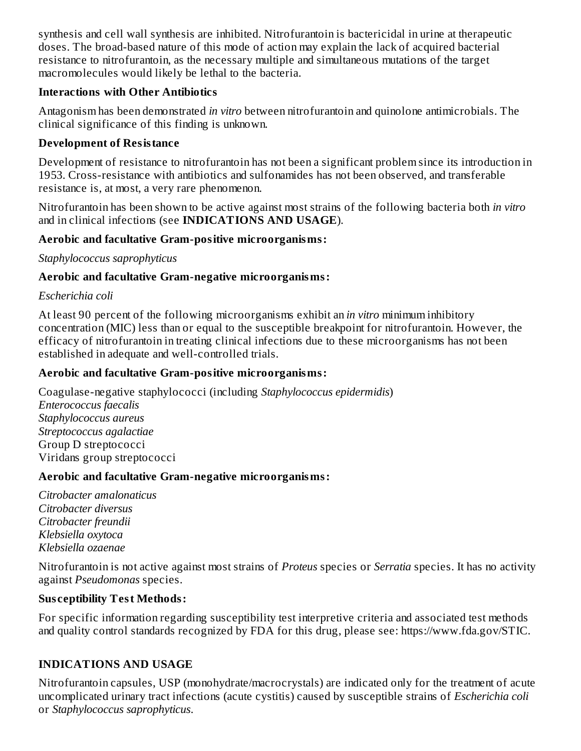synthesis and cell wall synthesis are inhibited. Nitrofurantoin is bactericidal in urine at therapeutic doses. The broad-based nature of this mode of action may explain the lack of acquired bacterial resistance to nitrofurantoin, as the necessary multiple and simultaneous mutations of the target macromolecules would likely be lethal to the bacteria.

### **Interactions with Other Antibiotics**

Antagonism has been demonstrated *in vitro* between nitrofurantoin and quinolone antimicrobials. The clinical significance of this finding is unknown.

### **Development of Resistance**

Development of resistance to nitrofurantoin has not been a significant problem since its introduction in 1953. Cross-resistance with antibiotics and sulfonamides has not been observed, and transferable resistance is, at most, a very rare phenomenon.

Nitrofurantoin has been shown to be active against most strains of the following bacteria both *in vitro* and in clinical infections (see **INDICATIONS AND USAGE**).

### **Aerobic and facultative Gram-positive microorganisms:**

*Staphylococcus saprophyticus*

### **Aerobic and facultative Gram-negative microorganisms:**

### *Escherichia coli*

At least 90 percent of the following microorganisms exhibit an *in vitro* minimum inhibitory concentration (MIC) less than or equal to the susceptible breakpoint for nitrofurantoin. However, the efficacy of nitrofurantoin in treating clinical infections due to these microorganisms has not been established in adequate and well-controlled trials.

### **Aerobic and facultative Gram-positive microorganisms:**

Coagulase-negative staphylococci (including *Staphylococcus epidermidis*) *Enterococcus faecalis Staphylococcus aureus Streptococcus agalactiae* Group D streptococci Viridans group streptococci

### **Aerobic and facultative Gram-negative microorganisms:**

*Citrobacter amalonaticus Citrobacter diversus Citrobacter freundii Klebsiella oxytoca Klebsiella ozaenae*

Nitrofurantoin is not active against most strains of *Proteus* species or *Serratia* species. It has no activity against *Pseudomonas* species.

# **Sus ceptibility Test Methods:**

For specific information regarding susceptibility test interpretive criteria and associated test methods and quality control standards recognized by FDA for this drug, please see: https://www.fda.gov/STIC.

# **INDICATIONS AND USAGE**

Nitrofurantoin capsules, USP (monohydrate/macrocrystals) are indicated only for the treatment of acute uncomplicated urinary tract infections (acute cystitis) caused by susceptible strains of *Escherichia coli* or *Staphylococcus saprophyticus*.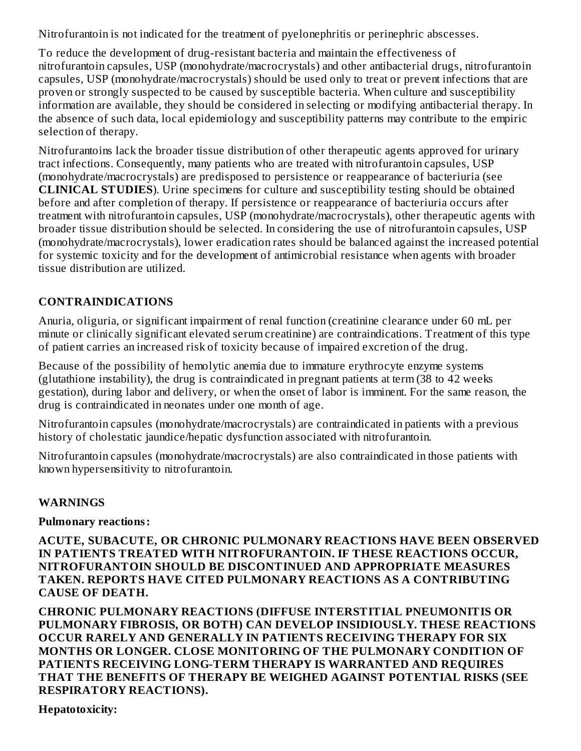Nitrofurantoin is not indicated for the treatment of pyelonephritis or perinephric abscesses.

To reduce the development of drug-resistant bacteria and maintain the effectiveness of nitrofurantoin capsules, USP (monohydrate/macrocrystals) and other antibacterial drugs, nitrofurantoin capsules, USP (monohydrate/macrocrystals) should be used only to treat or prevent infections that are proven or strongly suspected to be caused by susceptible bacteria. When culture and susceptibility information are available, they should be considered in selecting or modifying antibacterial therapy. In the absence of such data, local epidemiology and susceptibility patterns may contribute to the empiric selection of therapy.

Nitrofurantoins lack the broader tissue distribution of other therapeutic agents approved for urinary tract infections. Consequently, many patients who are treated with nitrofurantoin capsules, USP (monohydrate/macrocrystals) are predisposed to persistence or reappearance of bacteriuria (see **CLINICAL STUDIES**). Urine specimens for culture and susceptibility testing should be obtained before and after completion of therapy. If persistence or reappearance of bacteriuria occurs after treatment with nitrofurantoin capsules, USP (monohydrate/macrocrystals), other therapeutic agents with broader tissue distribution should be selected. In considering the use of nitrofurantoin capsules, USP (monohydrate/macrocrystals), lower eradication rates should be balanced against the increased potential for systemic toxicity and for the development of antimicrobial resistance when agents with broader tissue distribution are utilized.

# **CONTRAINDICATIONS**

Anuria, oliguria, or significant impairment of renal function (creatinine clearance under 60 mL per minute or clinically significant elevated serum creatinine) are contraindications. Treatment of this type of patient carries an increased risk of toxicity because of impaired excretion of the drug.

Because of the possibility of hemolytic anemia due to immature erythrocyte enzyme systems (glutathione instability), the drug is contraindicated in pregnant patients at term (38 to 42 weeks gestation), during labor and delivery, or when the onset of labor is imminent. For the same reason, the drug is contraindicated in neonates under one month of age.

Nitrofurantoin capsules (monohydrate/macrocrystals) are contraindicated in patients with a previous history of cholestatic jaundice/hepatic dysfunction associated with nitrofurantoin.

Nitrofurantoin capsules (monohydrate/macrocrystals) are also contraindicated in those patients with known hypersensitivity to nitrofurantoin.

### **WARNINGS**

#### **Pulmonary reactions:**

**ACUTE, SUBACUTE, OR CHRONIC PULMONARY REACTIONS HAVE BEEN OBSERVED IN PATIENTS TREATED WITH NITROFURANTOIN. IF THESE REACTIONS OCCUR, NITROFURANTOIN SHOULD BE DISCONTINUED AND APPROPRIATE MEASURES TAKEN. REPORTS HAVE CITED PULMONARY REACTIONS AS A CONTRIBUTING CAUSE OF DEATH.**

**CHRONIC PULMONARY REACTIONS (DIFFUSE INTERSTITIAL PNEUMONITIS OR PULMONARY FIBROSIS, OR BOTH) CAN DEVELOP INSIDIOUSLY. THESE REACTIONS OCCUR RARELY AND GENERALLY IN PATIENTS RECEIVING THERAPY FOR SIX MONTHS OR LONGER. CLOSE MONITORING OF THE PULMONARY CONDITION OF PATIENTS RECEIVING LONG-TERM THERAPY IS WARRANTED AND REQUIRES THAT THE BENEFITS OF THERAPY BE WEIGHED AGAINST POTENTIAL RISKS (SEE RESPIRATORY REACTIONS).**

#### **Hepatotoxicity:**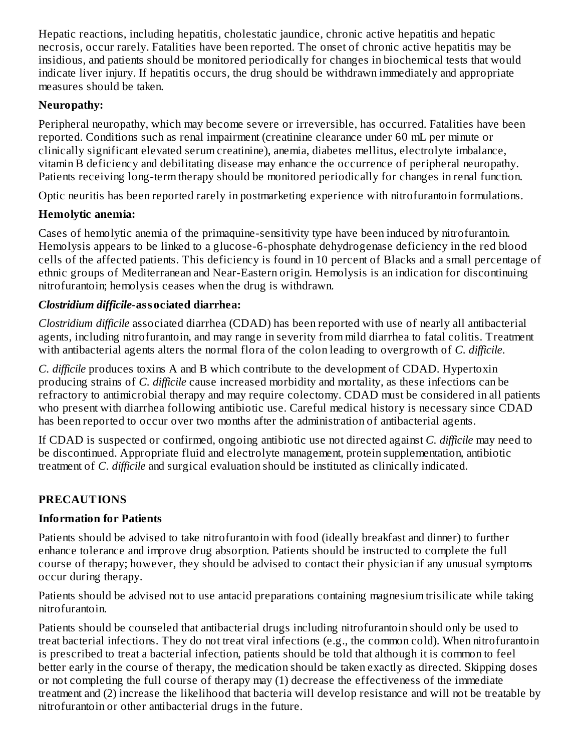Hepatic reactions, including hepatitis, cholestatic jaundice, chronic active hepatitis and hepatic necrosis, occur rarely. Fatalities have been reported. The onset of chronic active hepatitis may be insidious, and patients should be monitored periodically for changes in biochemical tests that would indicate liver injury. If hepatitis occurs, the drug should be withdrawn immediately and appropriate measures should be taken.

### **Neuropathy:**

Peripheral neuropathy, which may become severe or irreversible, has occurred. Fatalities have been reported. Conditions such as renal impairment (creatinine clearance under 60 mL per minute or clinically significant elevated serum creatinine), anemia, diabetes mellitus, electrolyte imbalance, vitamin B deficiency and debilitating disease may enhance the occurrence of peripheral neuropathy. Patients receiving long-term therapy should be monitored periodically for changes in renal function.

Optic neuritis has been reported rarely in postmarketing experience with nitrofurantoin formulations.

# **Hemolytic anemia:**

Cases of hemolytic anemia of the primaquine-sensitivity type have been induced by nitrofurantoin. Hemolysis appears to be linked to a glucose-6-phosphate dehydrogenase deficiency in the red blood cells of the affected patients. This deficiency is found in 10 percent of Blacks and a small percentage of ethnic groups of Mediterranean and Near-Eastern origin. Hemolysis is an indication for discontinuing nitrofurantoin; hemolysis ceases when the drug is withdrawn.

# *Clostridium difficile***-associated diarrhea:**

*Clostridium difficile* associated diarrhea (CDAD) has been reported with use of nearly all antibacterial agents, including nitrofurantoin, and may range in severity from mild diarrhea to fatal colitis. Treatment with antibacterial agents alters the normal flora of the colon leading to overgrowth of *C. difficile*.

*C. difficile* produces toxins A and B which contribute to the development of CDAD. Hypertoxin producing strains of *C. difficile* cause increased morbidity and mortality, as these infections can be refractory to antimicrobial therapy and may require colectomy. CDAD must be considered in all patients who present with diarrhea following antibiotic use. Careful medical history is necessary since CDAD has been reported to occur over two months after the administration of antibacterial agents.

If CDAD is suspected or confirmed, ongoing antibiotic use not directed against *C. difficile* may need to be discontinued. Appropriate fluid and electrolyte management, protein supplementation, antibiotic treatment of *C. difficile* and surgical evaluation should be instituted as clinically indicated.

# **PRECAUTIONS**

# **Information for Patients**

Patients should be advised to take nitrofurantoin with food (ideally breakfast and dinner) to further enhance tolerance and improve drug absorption. Patients should be instructed to complete the full course of therapy; however, they should be advised to contact their physician if any unusual symptoms occur during therapy.

Patients should be advised not to use antacid preparations containing magnesium trisilicate while taking nitrofurantoin.

Patients should be counseled that antibacterial drugs including nitrofurantoin should only be used to treat bacterial infections. They do not treat viral infections (e.g., the common cold). When nitrofurantoin is prescribed to treat a bacterial infection, patients should be told that although it is common to feel better early in the course of therapy, the medication should be taken exactly as directed. Skipping doses or not completing the full course of therapy may (1) decrease the effectiveness of the immediate treatment and (2) increase the likelihood that bacteria will develop resistance and will not be treatable by nitrofurantoin or other antibacterial drugs in the future.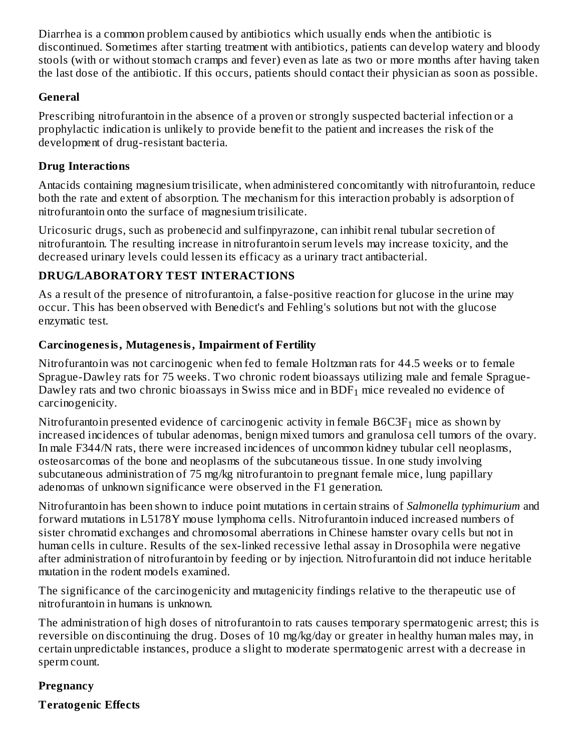Diarrhea is a common problem caused by antibiotics which usually ends when the antibiotic is discontinued. Sometimes after starting treatment with antibiotics, patients can develop watery and bloody stools (with or without stomach cramps and fever) even as late as two or more months after having taken the last dose of the antibiotic. If this occurs, patients should contact their physician as soon as possible.

### **General**

Prescribing nitrofurantoin in the absence of a proven or strongly suspected bacterial infection or a prophylactic indication is unlikely to provide benefit to the patient and increases the risk of the development of drug-resistant bacteria.

# **Drug Interactions**

Antacids containing magnesium trisilicate, when administered concomitantly with nitrofurantoin, reduce both the rate and extent of absorption. The mechanism for this interaction probably is adsorption of nitrofurantoin onto the surface of magnesium trisilicate.

Uricosuric drugs, such as probenecid and sulfinpyrazone, can inhibit renal tubular secretion of nitrofurantoin. The resulting increase in nitrofurantoin serum levels may increase toxicity, and the decreased urinary levels could lessen its efficacy as a urinary tract antibacterial.

# **DRUG/LABORATORY TEST INTERACTIONS**

As a result of the presence of nitrofurantoin, a false-positive reaction for glucose in the urine may occur. This has been observed with Benedict's and Fehling's solutions but not with the glucose enzymatic test.

# **Carcinogenesis, Mutagenesis, Impairment of Fertility**

Nitrofurantoin was not carcinogenic when fed to female Holtzman rats for 44.5 weeks or to female Sprague-Dawley rats for 75 weeks. Two chronic rodent bioassays utilizing male and female Sprague-Dawley rats and two chronic bioassays in Swiss mice and in  $\mathrm{BDF}_1$  mice revealed no evidence of carcinogenicity.

Nitrofurantoin presented evidence of carcinogenic activity in female  $\mathrm{B6C3F_{1}}$  mice as shown by increased incidences of tubular adenomas, benign mixed tumors and granulosa cell tumors of the ovary. In male F344/N rats, there were increased incidences of uncommon kidney tubular cell neoplasms, osteosarcomas of the bone and neoplasms of the subcutaneous tissue. In one study involving subcutaneous administration of 75 mg/kg nitrofurantoin to pregnant female mice, lung papillary adenomas of unknown significance were observed in the F1 generation.

Nitrofurantoin has been shown to induce point mutations in certain strains of *Salmonella typhimurium* and forward mutations in L5178Y mouse lymphoma cells. Nitrofurantoin induced increased numbers of sister chromatid exchanges and chromosomal aberrations in Chinese hamster ovary cells but not in human cells in culture. Results of the sex-linked recessive lethal assay in Drosophila were negative after administration of nitrofurantoin by feeding or by injection. Nitrofurantoin did not induce heritable mutation in the rodent models examined.

The significance of the carcinogenicity and mutagenicity findings relative to the therapeutic use of nitrofurantoin in humans is unknown.

The administration of high doses of nitrofurantoin to rats causes temporary spermatogenic arrest; this is reversible on discontinuing the drug. Doses of 10 mg/kg/day or greater in healthy human males may, in certain unpredictable instances, produce a slight to moderate spermatogenic arrest with a decrease in sperm count.

# **Pregnancy**

**Teratogenic Effects**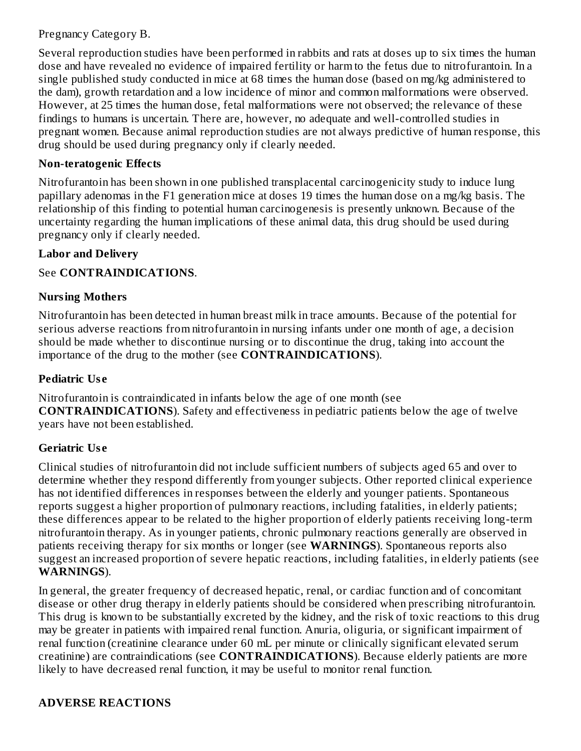Pregnancy Category B.

Several reproduction studies have been performed in rabbits and rats at doses up to six times the human dose and have revealed no evidence of impaired fertility or harm to the fetus due to nitrofurantoin. In a single published study conducted in mice at 68 times the human dose (based on mg/kg administered to the dam), growth retardation and a low incidence of minor and common malformations were observed. However, at 25 times the human dose, fetal malformations were not observed; the relevance of these findings to humans is uncertain. There are, however, no adequate and well-controlled studies in pregnant women. Because animal reproduction studies are not always predictive of human response, this drug should be used during pregnancy only if clearly needed.

### **Non-teratogenic Effects**

Nitrofurantoin has been shown in one published transplacental carcinogenicity study to induce lung papillary adenomas in the F1 generation mice at doses 19 times the human dose on a mg/kg basis. The relationship of this finding to potential human carcinogenesis is presently unknown. Because of the uncertainty regarding the human implications of these animal data, this drug should be used during pregnancy only if clearly needed.

# **Labor and Delivery**

### See **CONTRAINDICATIONS**.

# **Nursing Mothers**

Nitrofurantoin has been detected in human breast milk in trace amounts. Because of the potential for serious adverse reactions from nitrofurantoin in nursing infants under one month of age, a decision should be made whether to discontinue nursing or to discontinue the drug, taking into account the importance of the drug to the mother (see **CONTRAINDICATIONS**).

### **Pediatric Us e**

Nitrofurantoin is contraindicated in infants below the age of one month (see **CONTRAINDICATIONS**). Safety and effectiveness in pediatric patients below the age of twelve years have not been established.

# **Geriatric Us e**

Clinical studies of nitrofurantoin did not include sufficient numbers of subjects aged 65 and over to determine whether they respond differently from younger subjects. Other reported clinical experience has not identified differences in responses between the elderly and younger patients. Spontaneous reports suggest a higher proportion of pulmonary reactions, including fatalities, in elderly patients; these differences appear to be related to the higher proportion of elderly patients receiving long-term nitrofurantoin therapy. As in younger patients, chronic pulmonary reactions generally are observed in patients receiving therapy for six months or longer (see **WARNINGS**). Spontaneous reports also suggest an increased proportion of severe hepatic reactions, including fatalities, in elderly patients (see **WARNINGS**).

In general, the greater frequency of decreased hepatic, renal, or cardiac function and of concomitant disease or other drug therapy in elderly patients should be considered when prescribing nitrofurantoin. This drug is known to be substantially excreted by the kidney, and the risk of toxic reactions to this drug may be greater in patients with impaired renal function. Anuria, oliguria, or significant impairment of renal function (creatinine clearance under 60 mL per minute or clinically significant elevated serum creatinine) are contraindications (see **CONTRAINDICATIONS**). Because elderly patients are more likely to have decreased renal function, it may be useful to monitor renal function.

### **ADVERSE REACTIONS**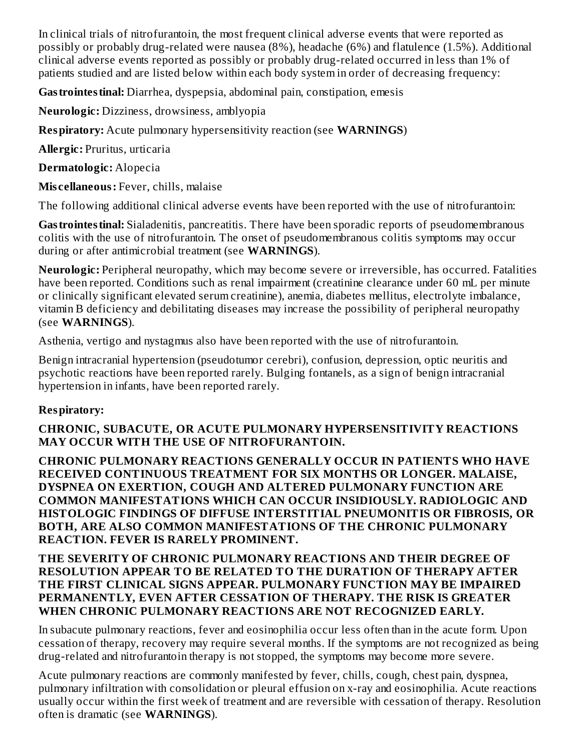In clinical trials of nitrofurantoin, the most frequent clinical adverse events that were reported as possibly or probably drug-related were nausea (8%), headache (6%) and flatulence (1.5%). Additional clinical adverse events reported as possibly or probably drug-related occurred in less than 1% of patients studied and are listed below within each body system in order of decreasing frequency:

**Gastrointestinal:** Diarrhea, dyspepsia, abdominal pain, constipation, emesis

**Neurologic:** Dizziness, drowsiness, amblyopia

**Respiratory:** Acute pulmonary hypersensitivity reaction (see **WARNINGS**)

**Allergic:** Pruritus, urticaria

**Dermatologic:** Alopecia

**Mis cellaneous:** Fever, chills, malaise

The following additional clinical adverse events have been reported with the use of nitrofurantoin:

Gastrointestinal: Sialadenitis, pancreatitis. There have been sporadic reports of pseudomembranous colitis with the use of nitrofurantoin. The onset of pseudomembranous colitis symptoms may occur during or after antimicrobial treatment (see **WARNINGS**).

**Neurologic:** Peripheral neuropathy, which may become severe or irreversible, has occurred. Fatalities have been reported. Conditions such as renal impairment (creatinine clearance under 60 mL per minute or clinically significant elevated serum creatinine), anemia, diabetes mellitus, electrolyte imbalance, vitamin B deficiency and debilitating diseases may increase the possibility of peripheral neuropathy (see **WARNINGS**).

Asthenia, vertigo and nystagmus also have been reported with the use of nitrofurantoin.

Benign intracranial hypertension (pseudotumor cerebri), confusion, depression, optic neuritis and psychotic reactions have been reported rarely. Bulging fontanels, as a sign of benign intracranial hypertension in infants, have been reported rarely.

### **Respiratory:**

#### **CHRONIC, SUBACUTE, OR ACUTE PULMONARY HYPERSENSITIVITY REACTIONS MAY OCCUR WITH THE USE OF NITROFURANTOIN.**

**CHRONIC PULMONARY REACTIONS GENERALLY OCCUR IN PATIENTS WHO HAVE RECEIVED CONTINUOUS TREATMENT FOR SIX MONTHS OR LONGER. MALAISE, DYSPNEA ON EXERTION, COUGH AND ALTERED PULMONARY FUNCTION ARE COMMON MANIFESTATIONS WHICH CAN OCCUR INSIDIOUSLY. RADIOLOGIC AND HISTOLOGIC FINDINGS OF DIFFUSE INTERSTITIAL PNEUMONITIS OR FIBROSIS, OR BOTH, ARE ALSO COMMON MANIFESTATIONS OF THE CHRONIC PULMONARY REACTION. FEVER IS RARELY PROMINENT.**

#### **THE SEVERITY OF CHRONIC PULMONARY REACTIONS AND THEIR DEGREE OF RESOLUTION APPEAR TO BE RELATED TO THE DURATION OF THERAPY AFTER THE FIRST CLINICAL SIGNS APPEAR. PULMONARY FUNCTION MAY BE IMPAIRED PERMANENTLY, EVEN AFTER CESSATION OF THERAPY. THE RISK IS GREATER WHEN CHRONIC PULMONARY REACTIONS ARE NOT RECOGNIZED EARLY.**

In subacute pulmonary reactions, fever and eosinophilia occur less often than in the acute form. Upon cessation of therapy, recovery may require several months. If the symptoms are not recognized as being drug-related and nitrofurantoin therapy is not stopped, the symptoms may become more severe.

Acute pulmonary reactions are commonly manifested by fever, chills, cough, chest pain, dyspnea, pulmonary infiltration with consolidation or pleural effusion on x-ray and eosinophilia. Acute reactions usually occur within the first week of treatment and are reversible with cessation of therapy. Resolution often is dramatic (see **WARNINGS**).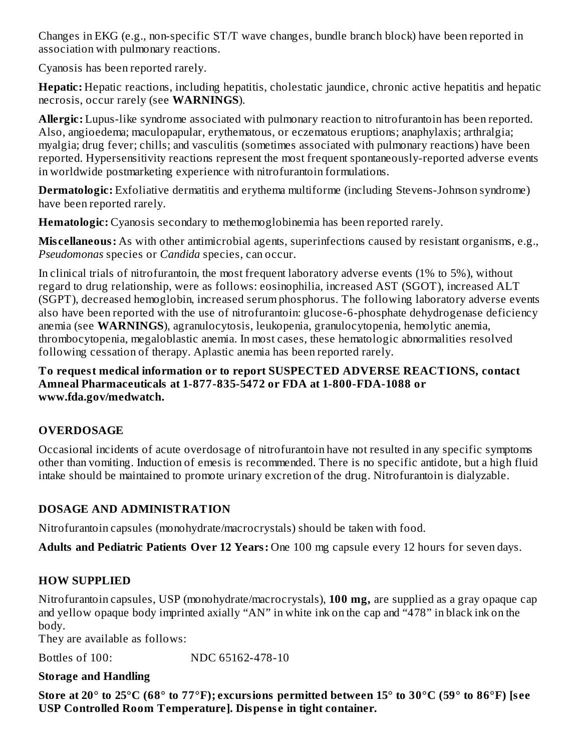Changes in EKG (e.g., non-specific ST/T wave changes, bundle branch block) have been reported in association with pulmonary reactions.

Cyanosis has been reported rarely.

**Hepatic:** Hepatic reactions, including hepatitis, cholestatic jaundice, chronic active hepatitis and hepatic necrosis, occur rarely (see **WARNINGS**).

**Allergic:** Lupus-like syndrome associated with pulmonary reaction to nitrofurantoin has been reported. Also, angioedema; maculopapular, erythematous, or eczematous eruptions; anaphylaxis; arthralgia; myalgia; drug fever; chills; and vasculitis (sometimes associated with pulmonary reactions) have been reported. Hypersensitivity reactions represent the most frequent spontaneously-reported adverse events in worldwide postmarketing experience with nitrofurantoin formulations.

**Dermatologic:** Exfoliative dermatitis and erythema multiforme (including Stevens-Johnson syndrome) have been reported rarely.

**Hematologic:** Cyanosis secondary to methemoglobinemia has been reported rarely.

**Mis cellaneous:** As with other antimicrobial agents, superinfections caused by resistant organisms, e.g., *Pseudomonas* species or *Candida* species, can occur.

In clinical trials of nitrofurantoin, the most frequent laboratory adverse events (1% to 5%), without regard to drug relationship, were as follows: eosinophilia, increased AST (SGOT), increased ALT (SGPT), decreased hemoglobin, increased serum phosphorus. The following laboratory adverse events also have been reported with the use of nitrofurantoin: glucose-6-phosphate dehydrogenase deficiency anemia (see **WARNINGS**), agranulocytosis, leukopenia, granulocytopenia, hemolytic anemia, thrombocytopenia, megaloblastic anemia. In most cases, these hematologic abnormalities resolved following cessation of therapy. Aplastic anemia has been reported rarely.

**To request medical information or to report SUSPECTED ADVERSE REACTIONS, contact Amneal Pharmaceuticals at 1-877-835-5472 or FDA at 1-800-FDA-1088 or www.fda.gov/medwatch.**

# **OVERDOSAGE**

Occasional incidents of acute overdosage of nitrofurantoin have not resulted in any specific symptoms other than vomiting. Induction of emesis is recommended. There is no specific antidote, but a high fluid intake should be maintained to promote urinary excretion of the drug. Nitrofurantoin is dialyzable.

# **DOSAGE AND ADMINISTRATION**

Nitrofurantoin capsules (monohydrate/macrocrystals) should be taken with food.

**Adults and Pediatric Patients Over 12 Years:** One 100 mg capsule every 12 hours for seven days.

# **HOW SUPPLIED**

Nitrofurantoin capsules, USP (monohydrate/macrocrystals), **100 mg,** are supplied as a gray opaque cap and yellow opaque body imprinted axially "AN" in white ink on the cap and "478" in black ink on the body.

They are available as follows:

Bottles of 100: NDC 65162-478-10

# **Storage and Handling**

Store at 20 $^{\circ}$  to 25 $^{\circ}$ C (68 $^{\circ}$  to 77 $^{\circ}$ F); excursions permitted between 15 $^{\circ}$  to 30 $^{\circ}$ C (59 $^{\circ}$  to 86 $^{\circ}$ F) [see **USP Controlled Room Temperature]. Dispens e in tight container.**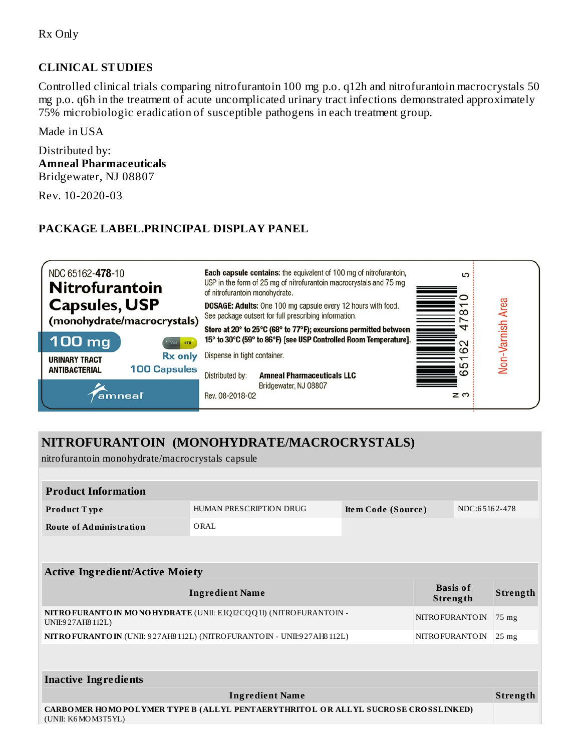Rx Only

### **CLINICAL STUDIES**

Controlled clinical trials comparing nitrofurantoin 100 mg p.o. q12h and nitrofurantoin macrocrystals 50 mg p.o. q6h in the treatment of acute uncomplicated urinary tract infections demonstrated approximately 75% microbiologic eradication of susceptible pathogens in each treatment group.

Made in USA

Distributed by: **Amneal Pharmaceuticals** Bridgewater, NJ 08807

Rev. 10-2020-03

# **PACKAGE LABEL.PRINCIPAL DISPLAY PANEL**



# **NITROFURANTOIN (MONOHYDRATE/MACROCRYSTALS)**

nitrofurantoin monohydrate/macrocrystals capsule

| <b>Product Information</b>                                                                             |                         |                                     |                             |                       |                 |
|--------------------------------------------------------------------------------------------------------|-------------------------|-------------------------------------|-----------------------------|-----------------------|-----------------|
| Product Type                                                                                           | HUMAN PRESCRIPTION DRUG | NDC:65162-478<br>Item Code (Source) |                             |                       |                 |
| <b>Route of Administration</b>                                                                         | ORAL                    |                                     |                             |                       |                 |
|                                                                                                        |                         |                                     |                             |                       |                 |
|                                                                                                        |                         |                                     |                             |                       |                 |
| <b>Active Ingredient/Active Moiety</b>                                                                 |                         |                                     |                             |                       |                 |
| <b>Ingredient Name</b>                                                                                 |                         |                                     | <b>Basis of</b><br>Strength |                       | Strength        |
| NITRO FURANTO IN MONOHYDRATE (UNII: E1QI2CQQ1I) (NITRO FURANTO IN -<br>UNII:927AH8112L)                |                         |                                     |                             | <b>NITROFURANTOIN</b> | 75 mg           |
| NITRO FURANTO IN (UNII: 927AH8112L) (NITRO FURANTO IN - UNII: 927AH8112L)<br><b>NITROFURANTOIN</b>     |                         |                                     |                             |                       | $25 \text{ mg}$ |
|                                                                                                        |                         |                                     |                             |                       |                 |
| <b>Inactive Ingredients</b>                                                                            |                         |                                     |                             |                       |                 |
| <b>Ingredient Name</b>                                                                                 |                         |                                     |                             |                       | <b>Strength</b> |
| CARBOMER HOMOPOLYMER TYPE B (ALLYL PENTAERYTHRITOL OR ALLYL SUCROSE CROSSLINKED)<br>(UNII: K6MOM3T5YL) |                         |                                     |                             |                       |                 |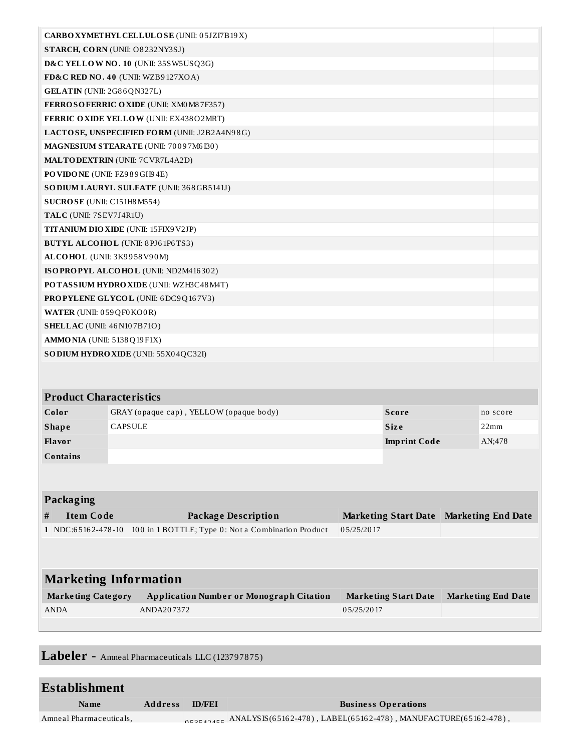| CARBOXYMETHYLCELLULOSE (UNII: 05JZI7B19X)                                    |                                                         |                                                    |                             |                     |                             |                           |                           |
|------------------------------------------------------------------------------|---------------------------------------------------------|----------------------------------------------------|-----------------------------|---------------------|-----------------------------|---------------------------|---------------------------|
| STARCH, CORN (UNII: O8232NY3SJ)                                              |                                                         |                                                    |                             |                     |                             |                           |                           |
|                                                                              |                                                         | D&C YELLOW NO. 10 (UNII: 35SW5USQ3G)               |                             |                     |                             |                           |                           |
|                                                                              |                                                         | FD&C RED NO. 40 (UNII: WZB9127XOA)                 |                             |                     |                             |                           |                           |
| <b>GELATIN</b> (UNII: 2G86QN327L)                                            |                                                         |                                                    |                             |                     |                             |                           |                           |
| <b>FERROSOFERRIC OXIDE (UNII: XM0 M8 7F357)</b>                              |                                                         |                                                    |                             |                     |                             |                           |                           |
| FERRIC OXIDE YELLOW (UNII: EX438O2MRT)                                       |                                                         |                                                    |                             |                     |                             |                           |                           |
| LACTOSE, UNSPECIFIED FORM (UNII: J2B2A4N98G)                                 |                                                         |                                                    |                             |                     |                             |                           |                           |
|                                                                              |                                                         | MAGNESIUM STEARATE (UNII: 70097M6I30)              |                             |                     |                             |                           |                           |
| <b>MALTODEXTRIN</b> (UNII: 7CVR7L4A2D)                                       |                                                         |                                                    |                             |                     |                             |                           |                           |
| PO VIDONE (UNII: FZ989GH94E)                                                 |                                                         |                                                    |                             |                     |                             |                           |                           |
|                                                                              |                                                         | SO DIUM LAURYL SULFATE (UNII: 368GB5141J)          |                             |                     |                             |                           |                           |
| SUCROSE (UNII: C151H8M554)                                                   |                                                         |                                                    |                             |                     |                             |                           |                           |
| TALC (UNII: 7SEV7J4R1U)                                                      |                                                         |                                                    |                             |                     |                             |                           |                           |
|                                                                              |                                                         | <b>TITANIUM DIO XIDE (UNII: 15FIX9 V2JP)</b>       |                             |                     |                             |                           |                           |
|                                                                              |                                                         | <b>BUTYL ALCOHOL</b> (UNII: 8PJ61P6TS3)            |                             |                     |                             |                           |                           |
| ALCOHOL (UNII: 3K9958V90M)                                                   |                                                         |                                                    |                             |                     |                             |                           |                           |
|                                                                              |                                                         | ISOPROPYL ALCOHOL (UNII: ND2M416302)               |                             |                     |                             |                           |                           |
| POTASSIUM HYDROXIDE (UNII: WZH3C48M4T)                                       |                                                         |                                                    |                             |                     |                             |                           |                           |
| <b>PROPYLENE GLYCOL</b> (UNII: 6DC9Q167V3)                                   |                                                         |                                                    |                             |                     |                             |                           |                           |
| WATER (UNII: 059QF0KO0R)                                                     |                                                         |                                                    |                             |                     |                             |                           |                           |
| <b>SHELLAC</b> (UNII: 46 N107B71O)                                           |                                                         |                                                    |                             |                     |                             |                           |                           |
| <b>AMMO NIA</b> (UNII: 5138Q19F1X)                                           |                                                         |                                                    |                             |                     |                             |                           |                           |
| <b>SODIUM HYDRO XIDE (UNII: 55X04QC32I)</b>                                  |                                                         |                                                    |                             |                     |                             |                           |                           |
|                                                                              |                                                         |                                                    |                             |                     |                             |                           |                           |
|                                                                              |                                                         |                                                    |                             |                     |                             |                           |                           |
| <b>Product Characteristics</b>                                               |                                                         |                                                    |                             |                     |                             |                           |                           |
| Color                                                                        | GRAY (opaque cap), YELLOW (opaque body)<br><b>Score</b> |                                                    | no score                    |                     |                             |                           |                           |
| <b>Shape</b>                                                                 | <b>CAPSULE</b>                                          |                                                    | <b>Size</b>                 |                     | 22mm                        |                           |                           |
| Flavor                                                                       |                                                         |                                                    |                             | <b>Imprint Code</b> |                             | AN;478                    |                           |
| <b>Contains</b>                                                              |                                                         |                                                    |                             |                     |                             |                           |                           |
|                                                                              |                                                         |                                                    |                             |                     |                             |                           |                           |
|                                                                              |                                                         |                                                    |                             |                     |                             |                           |                           |
| Packaging                                                                    |                                                         |                                                    |                             |                     |                             |                           |                           |
| <b>Item Code</b><br>#                                                        |                                                         | <b>Package Description</b>                         |                             |                     | <b>Marketing Start Date</b> |                           | <b>Marketing End Date</b> |
| 1 NDC:65162-478-10                                                           |                                                         | 100 in 1 BOTTLE; Type 0: Not a Combination Product |                             | 05/25/2017          |                             |                           |                           |
|                                                                              |                                                         |                                                    |                             |                     |                             |                           |                           |
|                                                                              |                                                         |                                                    |                             |                     |                             |                           |                           |
|                                                                              |                                                         |                                                    |                             |                     |                             |                           |                           |
| <b>Marketing Information</b>                                                 |                                                         |                                                    |                             |                     |                             |                           |                           |
| <b>Marketing Category</b><br><b>Application Number or Monograph Citation</b> |                                                         |                                                    | <b>Marketing Start Date</b> |                     |                             | <b>Marketing End Date</b> |                           |
| <b>ANDA</b>                                                                  |                                                         | ANDA207372                                         |                             | 05/25/2017          |                             |                           |                           |
|                                                                              |                                                         |                                                    |                             |                     |                             |                           |                           |

**Labeler -** Amneal Pharmaceuticals LLC (123797875)

| Establishment           |                |               |                                                                                        |  |  |  |  |
|-------------------------|----------------|---------------|----------------------------------------------------------------------------------------|--|--|--|--|
| <b>Name</b>             | <b>Address</b> | <b>ID/FEI</b> | <b>Business Operations</b>                                                             |  |  |  |  |
| Amneal Pharmaceuticals, |                |               | $\bigcup_{0.525,47455}$ ANALYSIS(65162-478), LABEL(65162-478), MANUFACTURE(65162-478), |  |  |  |  |